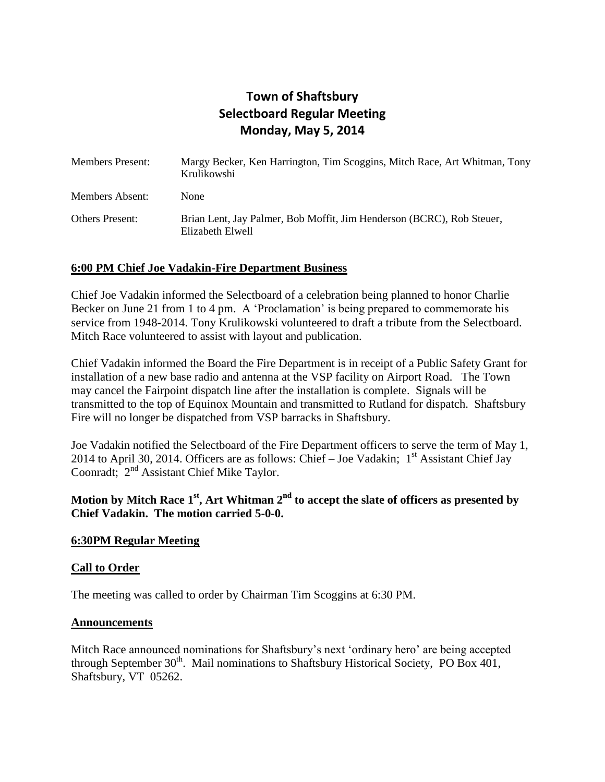# **Town of Shaftsbury Selectboard Regular Meeting Monday, May 5, 2014**

| <b>Members Present:</b> | Margy Becker, Ken Harrington, Tim Scoggins, Mitch Race, Art Whitman, Tony<br>Krulikowshi  |
|-------------------------|-------------------------------------------------------------------------------------------|
| <b>Members Absent:</b>  | None                                                                                      |
| <b>Others Present:</b>  | Brian Lent, Jay Palmer, Bob Moffit, Jim Henderson (BCRC), Rob Steuer,<br>Elizabeth Elwell |

# **6:00 PM Chief Joe Vadakin-Fire Department Business**

Chief Joe Vadakin informed the Selectboard of a celebration being planned to honor Charlie Becker on June 21 from 1 to 4 pm. A 'Proclamation' is being prepared to commemorate his service from 1948-2014. Tony Krulikowski volunteered to draft a tribute from the Selectboard. Mitch Race volunteered to assist with layout and publication.

Chief Vadakin informed the Board the Fire Department is in receipt of a Public Safety Grant for installation of a new base radio and antenna at the VSP facility on Airport Road. The Town may cancel the Fairpoint dispatch line after the installation is complete. Signals will be transmitted to the top of Equinox Mountain and transmitted to Rutland for dispatch. Shaftsbury Fire will no longer be dispatched from VSP barracks in Shaftsbury.

Joe Vadakin notified the Selectboard of the Fire Department officers to serve the term of May 1, 2014 to April 30, 2014. Officers are as follows: Chief – Joe Vadakin;  $1<sup>st</sup>$  Assistant Chief Jay Coonradt; 2<sup>nd</sup> Assistant Chief Mike Taylor.

# **Motion by Mitch Race 1st, Art Whitman 2nd to accept the slate of officers as presented by Chief Vadakin. The motion carried 5-0-0.**

### **6:30PM Regular Meeting**

### **Call to Order**

The meeting was called to order by Chairman Tim Scoggins at 6:30 PM.

#### **Announcements**

Mitch Race announced nominations for Shaftsbury's next 'ordinary hero' are being accepted through September  $30<sup>th</sup>$ . Mail nominations to Shaftsbury Historical Society, PO Box 401, Shaftsbury, VT 05262.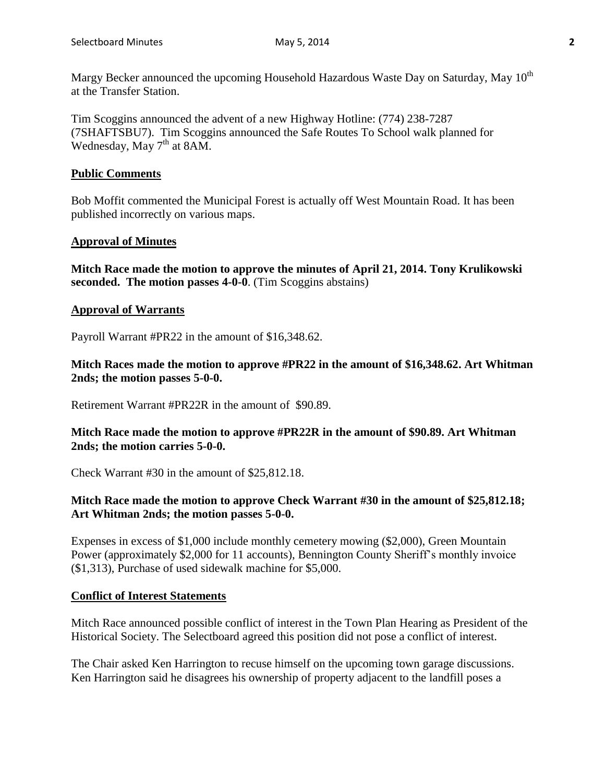Margy Becker announced the upcoming Household Hazardous Waste Day on Saturday, May 10<sup>th</sup> at the Transfer Station.

Tim Scoggins announced the advent of a new Highway Hotline: (774) 238-7287 (7SHAFTSBU7). Tim Scoggins announced the Safe Routes To School walk planned for Wednesday, May  $7<sup>th</sup>$  at 8AM.

# **Public Comments**

Bob Moffit commented the Municipal Forest is actually off West Mountain Road. It has been published incorrectly on various maps.

# **Approval of Minutes**

**Mitch Race made the motion to approve the minutes of April 21, 2014. Tony Krulikowski seconded. The motion passes 4-0-0**. (Tim Scoggins abstains)

# **Approval of Warrants**

Payroll Warrant #PR22 in the amount of \$16,348.62.

**Mitch Races made the motion to approve #PR22 in the amount of \$16,348.62. Art Whitman 2nds; the motion passes 5-0-0.**

Retirement Warrant #PR22R in the amount of \$90.89.

# **Mitch Race made the motion to approve #PR22R in the amount of \$90.89. Art Whitman 2nds; the motion carries 5-0-0.**

Check Warrant #30 in the amount of \$25,812.18.

# **Mitch Race made the motion to approve Check Warrant #30 in the amount of \$25,812.18; Art Whitman 2nds; the motion passes 5-0-0.**

Expenses in excess of \$1,000 include monthly cemetery mowing (\$2,000), Green Mountain Power (approximately \$2,000 for 11 accounts), Bennington County Sheriff's monthly invoice (\$1,313), Purchase of used sidewalk machine for \$5,000.

### **Conflict of Interest Statements**

Mitch Race announced possible conflict of interest in the Town Plan Hearing as President of the Historical Society. The Selectboard agreed this position did not pose a conflict of interest.

The Chair asked Ken Harrington to recuse himself on the upcoming town garage discussions. Ken Harrington said he disagrees his ownership of property adjacent to the landfill poses a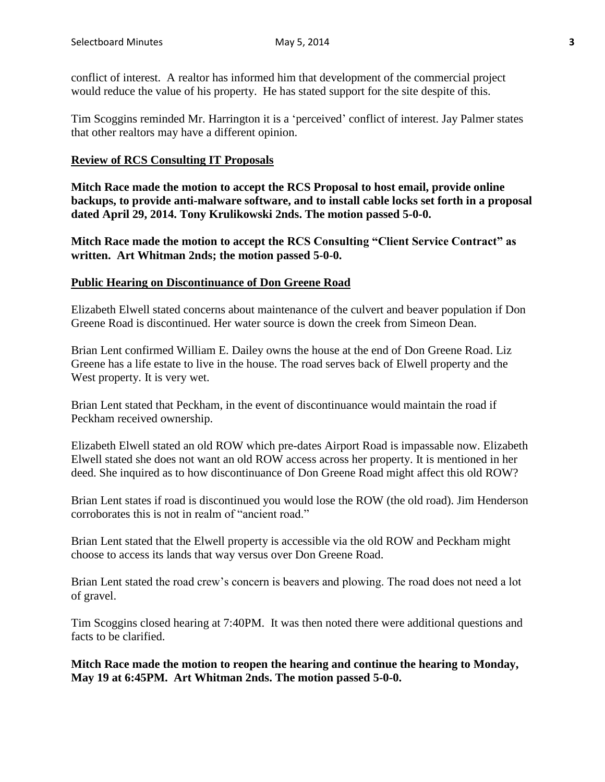conflict of interest. A realtor has informed him that development of the commercial project would reduce the value of his property. He has stated support for the site despite of this.

Tim Scoggins reminded Mr. Harrington it is a 'perceived' conflict of interest. Jay Palmer states that other realtors may have a different opinion.

### **Review of RCS Consulting IT Proposals**

**Mitch Race made the motion to accept the RCS Proposal to host email, provide online backups, to provide anti-malware software, and to install cable locks set forth in a proposal dated April 29, 2014. Tony Krulikowski 2nds. The motion passed 5-0-0.**

**Mitch Race made the motion to accept the RCS Consulting "Client Service Contract" as written. Art Whitman 2nds; the motion passed 5-0-0.**

#### **Public Hearing on Discontinuance of Don Greene Road**

Elizabeth Elwell stated concerns about maintenance of the culvert and beaver population if Don Greene Road is discontinued. Her water source is down the creek from Simeon Dean.

Brian Lent confirmed William E. Dailey owns the house at the end of Don Greene Road. Liz Greene has a life estate to live in the house. The road serves back of Elwell property and the West property. It is very wet.

Brian Lent stated that Peckham, in the event of discontinuance would maintain the road if Peckham received ownership.

Elizabeth Elwell stated an old ROW which pre-dates Airport Road is impassable now. Elizabeth Elwell stated she does not want an old ROW access across her property. It is mentioned in her deed. She inquired as to how discontinuance of Don Greene Road might affect this old ROW?

Brian Lent states if road is discontinued you would lose the ROW (the old road). Jim Henderson corroborates this is not in realm of "ancient road."

Brian Lent stated that the Elwell property is accessible via the old ROW and Peckham might choose to access its lands that way versus over Don Greene Road.

Brian Lent stated the road crew's concern is beavers and plowing. The road does not need a lot of gravel.

Tim Scoggins closed hearing at 7:40PM. It was then noted there were additional questions and facts to be clarified.

**Mitch Race made the motion to reopen the hearing and continue the hearing to Monday, May 19 at 6:45PM. Art Whitman 2nds. The motion passed 5-0-0.**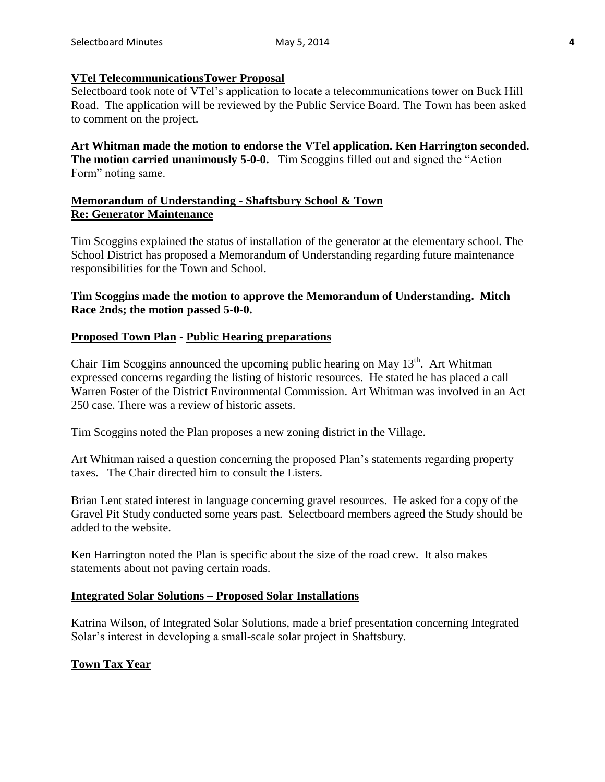# **VTel TelecommunicationsTower Proposal**

Selectboard took note of VTel's application to locate a telecommunications tower on Buck Hill Road. The application will be reviewed by the Public Service Board. The Town has been asked to comment on the project.

**Art Whitman made the motion to endorse the VTel application. Ken Harrington seconded. The motion carried unanimously 5-0-0.** Tim Scoggins filled out and signed the "Action Form" noting same.

# **Memorandum of Understanding - Shaftsbury School & Town Re: Generator Maintenance**

Tim Scoggins explained the status of installation of the generator at the elementary school. The School District has proposed a Memorandum of Understanding regarding future maintenance responsibilities for the Town and School.

# **Tim Scoggins made the motion to approve the Memorandum of Understanding. Mitch Race 2nds; the motion passed 5-0-0.**

# **Proposed Town Plan** - **Public Hearing preparations**

Chair Tim Scoggins announced the upcoming public hearing on May  $13<sup>th</sup>$ . Art Whitman expressed concerns regarding the listing of historic resources. He stated he has placed a call Warren Foster of the District Environmental Commission. Art Whitman was involved in an Act 250 case. There was a review of historic assets.

Tim Scoggins noted the Plan proposes a new zoning district in the Village.

Art Whitman raised a question concerning the proposed Plan's statements regarding property taxes. The Chair directed him to consult the Listers.

Brian Lent stated interest in language concerning gravel resources. He asked for a copy of the Gravel Pit Study conducted some years past. Selectboard members agreed the Study should be added to the website.

Ken Harrington noted the Plan is specific about the size of the road crew. It also makes statements about not paving certain roads.

### **Integrated Solar Solutions – Proposed Solar Installations**

Katrina Wilson, of Integrated Solar Solutions, made a brief presentation concerning Integrated Solar's interest in developing a small-scale solar project in Shaftsbury.

# **Town Tax Year**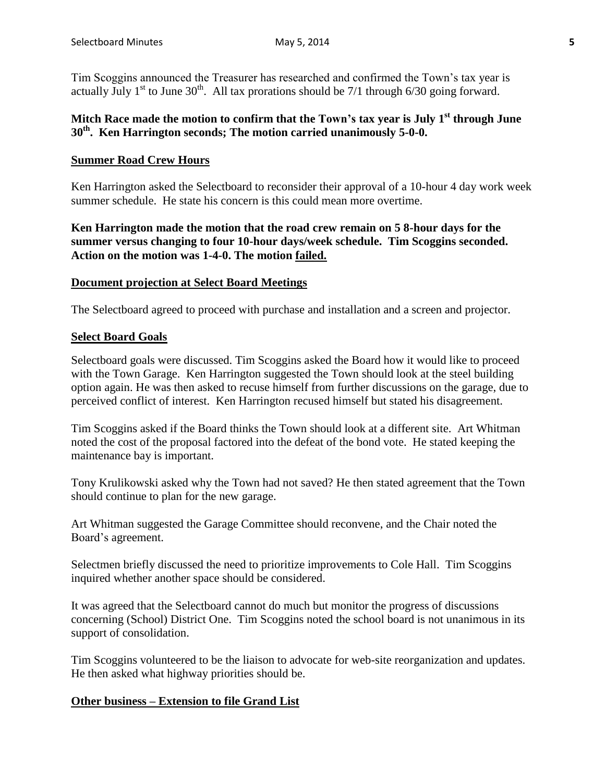Tim Scoggins announced the Treasurer has researched and confirmed the Town's tax year is actually July  $1^{st}$  to June  $30^{th}$ . All tax prorations should be 7/1 through 6/30 going forward.

# **Mitch Race made the motion to confirm that the Town's tax year is July 1st through June 30th . Ken Harrington seconds; The motion carried unanimously 5-0-0.**

### **Summer Road Crew Hours**

Ken Harrington asked the Selectboard to reconsider their approval of a 10-hour 4 day work week summer schedule. He state his concern is this could mean more overtime.

**Ken Harrington made the motion that the road crew remain on 5 8-hour days for the summer versus changing to four 10-hour days/week schedule. Tim Scoggins seconded. Action on the motion was 1-4-0. The motion failed.**

#### **Document projection at Select Board Meetings**

The Selectboard agreed to proceed with purchase and installation and a screen and projector.

#### **Select Board Goals**

Selectboard goals were discussed. Tim Scoggins asked the Board how it would like to proceed with the Town Garage. Ken Harrington suggested the Town should look at the steel building option again. He was then asked to recuse himself from further discussions on the garage, due to perceived conflict of interest. Ken Harrington recused himself but stated his disagreement.

Tim Scoggins asked if the Board thinks the Town should look at a different site. Art Whitman noted the cost of the proposal factored into the defeat of the bond vote. He stated keeping the maintenance bay is important.

Tony Krulikowski asked why the Town had not saved? He then stated agreement that the Town should continue to plan for the new garage.

Art Whitman suggested the Garage Committee should reconvene, and the Chair noted the Board's agreement.

Selectmen briefly discussed the need to prioritize improvements to Cole Hall. Tim Scoggins inquired whether another space should be considered.

It was agreed that the Selectboard cannot do much but monitor the progress of discussions concerning (School) District One. Tim Scoggins noted the school board is not unanimous in its support of consolidation.

Tim Scoggins volunteered to be the liaison to advocate for web-site reorganization and updates. He then asked what highway priorities should be.

### **Other business – Extension to file Grand List**